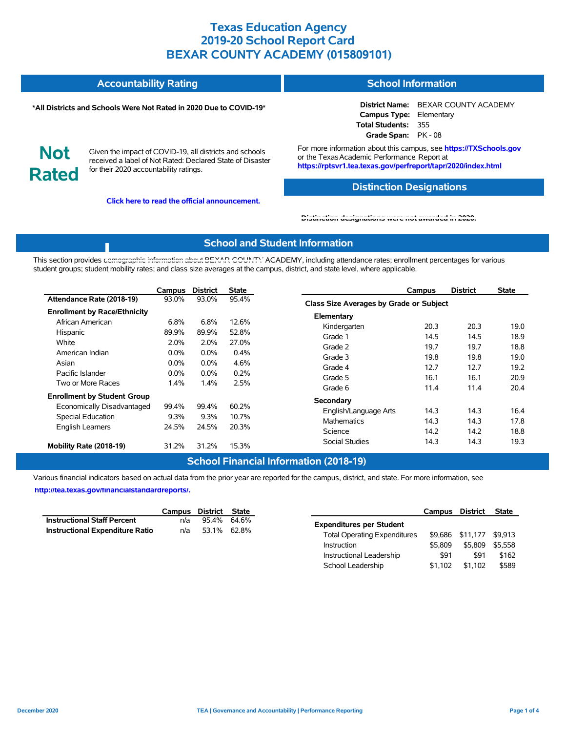#### **Accountability Rating School Information**

#### **\*All Districts and Schools Were Not Rated in 2020 Due to COVID-19\***

**District Name:** BEXAR COUNTY ACADEMY **Campus Type:** Elementary **Total Students:** 355 **Grade Span:** PK - 08

**Not Rated**

Given the impact of COVID-19, all districts and schools received a label of Not Rated: Declared State of Disaster for their 2020 accountability ratings.

**Click here to read the official announcement.**

For more information about this campus, see **https://TXSchools.gov** or the Texas Academic Performance Report at **https://rptsvr1.tea.texas.gov/perfreport/tapr/2020/index.html**

### **Distinction Designations**

School Leadership  $$1,102$  \$1,102 \$589

#### **[Distinction designations were not awarded in 2020.](https://rptsvr1.tea.texas.gov/perfreport/tapr/2020/index.html)**

### **School and Student Information**

This section provides [demographic information about BEXAR COUNTY](https://tea.texas.gov/about-tea/news-and-multimedia/correspondence/taa-letters/every-student-succeeds-act-essa-waiver-approval-2020-state-academic-accountability) ACADEMY, including attendance rates; enrollment percentages for various student groups; student mobility rates; and class size averages at the campus, district, and state level, where applicable.

|                                     | Campus  | <b>District</b> | <b>State</b> | <b>District</b><br><b>State</b><br>Campus |      |
|-------------------------------------|---------|-----------------|--------------|-------------------------------------------|------|
| Attendance Rate (2018-19)           | 93.0%   | 93.0%           | 95.4%        | Class Size Averages by Grade or Subject   |      |
| <b>Enrollment by Race/Ethnicity</b> |         |                 |              | Elementary                                |      |
| African American                    | 6.8%    | 6.8%            | 12.6%        | 20.3<br>20.3<br>Kindergarten              | 19.0 |
| Hispanic                            | 89.9%   | 89.9%           | 52.8%        | 14.5<br>14.5<br>Grade 1                   | 18.9 |
| White                               | 2.0%    | 2.0%            | 27.0%        | 19.7<br>19.7<br>Grade 2                   | 18.8 |
| American Indian                     | $0.0\%$ | $0.0\%$         | 0.4%         | 19.8<br>Grade 3<br>19.8                   | 19.0 |
| Asian                               | $0.0\%$ | 0.0%            | 4.6%         | 12.7<br>12.7<br>Grade 4                   | 19.2 |
| Pacific Islander                    | $0.0\%$ | $0.0\%$         | 0.2%         | 16.1<br>16.1<br>Grade 5                   | 20.9 |
| Two or More Races                   | 1.4%    | 1.4%            | 2.5%         | 11.4<br>11.4<br>Grade 6                   | 20.4 |
| <b>Enrollment by Student Group</b>  |         |                 |              | Secondary                                 |      |
| Economically Disadvantaged          | 99.4%   | 99.4%           | 60.2%        | English/Language Arts<br>14.3<br>14.3     | 16.4 |
| Special Education                   | 9.3%    | 9.3%            | 10.7%        | <b>Mathematics</b>                        |      |
| <b>English Learners</b>             | 24.5%   | 24.5%           | 20.3%        | 14.3<br>14.3                              | 17.8 |
|                                     |         |                 |              | 14.2<br>14.2<br>Science                   | 18.8 |
| Mobility Rate (2018-19)             | 31.2%   | 31.2%           | 15.3%        | Social Studies<br>14.3<br>14.3            | 19.3 |

### **School Financial Information (2018-19)**

Various financial indicators based on actual data from the prior year are reported for the campus, district, and state. For more information, see

**[http://tea.texas.gov/financialstandardreports/.](http://tea.texas.gov/financialstandardreports/)**

|                                    | Campus | District | State       |                                     | Campus  | District         | <b>State</b> |
|------------------------------------|--------|----------|-------------|-------------------------------------|---------|------------------|--------------|
| <b>Instructional Staff Percent</b> | n/a    |          | 95.4% 64.6% | <b>Expenditures per Student</b>     |         |                  |              |
| Instructional Expenditure Ratio    | n/a    |          | 53.1% 62.8% | <b>Total Operating Expenditures</b> |         | \$9,686 \$11,177 | \$9.913      |
|                                    |        |          |             | Instruction                         | \$5,809 | \$5,809          | \$5.558      |
|                                    |        |          |             | Instructional Leadership            | \$91    | \$91             | \$162        |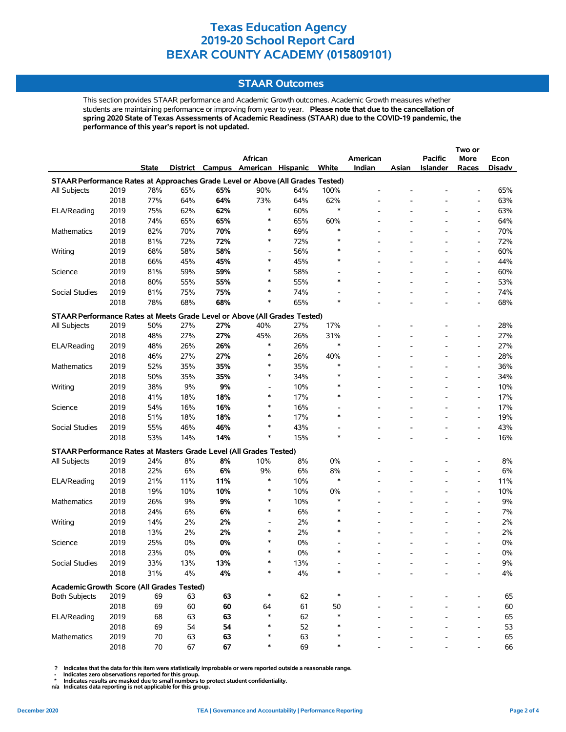### **STAAR Outcomes**

This section provides STAAR performance and Academic Growth outcomes. Academic Growth measures whether students are maintaining performance or improving from year to year. **Please note that due to the cancellation of spring 2020 State of Texas Assessments of Academic Readiness (STAAR) due to the COVID-19 pandemic, the performance of this year's report is not updated.**

|                                                                                |              |          |          |          |                          |                 |        |          |                          |                          | Two or                   |          |
|--------------------------------------------------------------------------------|--------------|----------|----------|----------|--------------------------|-----------------|--------|----------|--------------------------|--------------------------|--------------------------|----------|
|                                                                                |              |          |          |          | African                  |                 |        | American |                          | <b>Pacific</b>           | More                     | Econ     |
|                                                                                |              | State    | District |          | Campus American          | <b>Hispanic</b> | White  | Indian   | Asian                    | <b>Islander</b>          | Races                    | Disadv   |
| STAAR Performance Rates at Approaches Grade Level or Above (All Grades Tested) |              |          |          |          |                          |                 |        |          |                          |                          |                          |          |
| All Subjects                                                                   | 2019         | 78%      | 65%      | 65%      | 90%                      | 64%             | 100%   |          |                          |                          | $\overline{\phantom{a}}$ | 65%      |
|                                                                                | 2018         | 77%      | 64%      | 64%      | 73%                      | 64%             | 62%    |          |                          |                          | $\overline{\phantom{a}}$ | 63%      |
| ELA/Reading                                                                    | 2019         | 75%      | 62%      | 62%      | $\ast$                   | 60%             | $\ast$ |          |                          |                          | $\overline{\phantom{a}}$ | 63%      |
|                                                                                | 2018         | 74%      | 65%      | 65%      | $\ast$                   | 65%             | 60%    |          |                          |                          | $\overline{\phantom{a}}$ | 64%      |
| Mathematics                                                                    | 2019         | 82%      | 70%      | 70%      | $\ast$                   | 69%             | $\ast$ |          |                          |                          | $\overline{\phantom{a}}$ | 70%      |
|                                                                                | 2018         | 81%      | 72%      | 72%      | $\ast$                   | 72%             | ∗      |          |                          |                          | $\overline{\phantom{a}}$ | 72%      |
| Writing                                                                        | 2019         | 68%      | 58%      | 58%      | $\overline{\phantom{a}}$ | 56%             |        |          |                          |                          | $\overline{\phantom{a}}$ | 60%      |
|                                                                                | 2018         | 66%      | 45%      | 45%      | $\ast$                   | 45%             |        |          |                          |                          | $\overline{\phantom{a}}$ | 44%      |
| Science                                                                        | 2019         | 81%      | 59%      | 59%      | $\ast$                   | 58%             |        |          |                          |                          | $\overline{\phantom{a}}$ | 60%      |
|                                                                                | 2018         | 80%      | 55%      | 55%      | $\ast$                   | 55%             | $\ast$ |          |                          |                          | $\overline{\phantom{a}}$ | 53%      |
| Social Studies                                                                 | 2019         | 81%      | 75%      | 75%      | $\ast$                   | 74%             |        |          |                          |                          | $\overline{\phantom{a}}$ | 74%      |
|                                                                                | 2018         | 78%      | 68%      | 68%      | ∗                        | 65%             | ∗      |          | $\overline{a}$           |                          | $\overline{\phantom{a}}$ | 68%      |
| STAAR Performance Rates at Meets Grade Level or Above (All Grades Tested)      |              |          |          |          |                          |                 |        |          |                          |                          |                          |          |
| All Subjects                                                                   | 2019         | 50%      | 27%      | 27%      | 40%                      | 27%             | 17%    |          |                          |                          | $\overline{a}$           | 28%      |
|                                                                                | 2018         | 48%      | 27%      | 27%      | 45%                      | 26%             | 31%    |          |                          |                          | $\overline{\phantom{a}}$ | 27%      |
| ELA/Reading                                                                    | 2019         | 48%      | 26%      | 26%      | $\ast$                   | 26%             | ∗      |          |                          |                          | $\overline{\phantom{a}}$ | 27%      |
|                                                                                | 2018         | 46%      | 27%      | 27%      | $\ast$                   | 26%             | 40%    |          |                          |                          | Ĭ.                       | 28%      |
| Mathematics                                                                    | 2019         | 52%      | 35%      | 35%      | $\ast$                   | 35%             | ∗      |          |                          |                          | $\overline{\phantom{a}}$ | 36%      |
|                                                                                | 2018         | 50%      | 35%      | 35%      | $\ast$                   | 34%             | $\ast$ |          |                          |                          | $\overline{\phantom{a}}$ | 34%      |
| Writing                                                                        | 2019         | 38%      | 9%       | 9%       | $\overline{a}$           | 10%             | $\ast$ |          |                          |                          | $\overline{\phantom{a}}$ | 10%      |
|                                                                                | 2018         | 41%      | 18%      | 18%      | $\ast$                   | 17%             | ∗      |          | $\overline{\phantom{a}}$ | $\overline{\phantom{a}}$ | $\overline{\phantom{a}}$ | 17%      |
| Science                                                                        | 2019         | 54%      | 16%      | 16%      | ∗                        | 16%             |        |          |                          |                          | $\overline{\phantom{a}}$ | 17%      |
|                                                                                | 2018         | 51%      | 18%      | 18%      | ∗                        | 17%             | $\ast$ |          |                          |                          | $\overline{\phantom{a}}$ | 19%      |
| Social Studies                                                                 | 2019         | 55%      | 46%      | 46%      | $\ast$                   | 43%             |        |          |                          |                          | $\overline{\phantom{a}}$ | 43%      |
|                                                                                | 2018         | 53%      | 14%      | 14%      | $\ast$                   | 15%             | $\ast$ |          |                          |                          | $\overline{\phantom{a}}$ | 16%      |
| STAAR Performance Rates at Masters Grade Level (All Grades Tested)             |              |          |          |          |                          |                 |        |          |                          |                          |                          |          |
| All Subjects                                                                   | 2019         | 24%      | 8%       | 8%       | 10%                      | 8%              | 0%     |          |                          |                          | $\overline{\phantom{a}}$ | 8%       |
|                                                                                | 2018         | 22%      | 6%       | 6%       | 9%                       | 6%              | 8%     |          |                          |                          | $\overline{\phantom{a}}$ | 6%       |
| ELA/Reading                                                                    | 2019         | 21%      | 11%      | 11%      | $\ast$                   | 10%             | $\ast$ |          |                          |                          | $\overline{\phantom{a}}$ | 11%      |
|                                                                                | 2018         | 19%      | 10%      | 10%      | $\ast$                   | 10%             | 0%     |          |                          |                          | $\overline{\phantom{a}}$ | 10%      |
| Mathematics                                                                    | 2019         | 26%      | 9%       | 9%       | ∗                        | 10%             | *      |          |                          |                          | $\overline{\phantom{a}}$ | 9%       |
|                                                                                | 2018         | 24%      | 6%       | 6%       | ∗                        | 6%              |        |          |                          |                          | $\overline{\phantom{a}}$ | 7%       |
| Writing                                                                        | 2019         | 14%      | 2%       | 2%       | $\overline{a}$           | 2%              | $\ast$ |          |                          |                          | $\overline{\phantom{a}}$ | 2%       |
|                                                                                | 2018         | 13%      | 2%       | 2%       | $\ast$                   | 2%              | $\ast$ |          |                          |                          | $\overline{\phantom{a}}$ | 2%       |
| Science                                                                        | 2019         | 25%      | 0%       | 0%       | $\ast$                   | 0%              |        |          |                          |                          | $\overline{\phantom{a}}$ | 0%       |
|                                                                                | 2018         | 23%      | 0%       | 0%       | $\ast$                   | 0%              | ∗      |          |                          |                          | $\overline{\phantom{a}}$ | 0%       |
| Social Studies                                                                 | 2019         | 33%      | 13%      | 13%      |                          | 13%             |        |          |                          |                          |                          | $9\%$    |
|                                                                                | 2018         | 31%      | 4%       | 4%       |                          | $4\%$           |        |          |                          |                          |                          | 4%       |
|                                                                                |              |          |          |          |                          |                 |        |          |                          |                          |                          |          |
| Academic Growth Score (All Grades Tested)                                      | 2019         | 69       | 63       |          | ∗                        | 62              | *      |          |                          |                          |                          |          |
| <b>Both Subjects</b>                                                           |              |          |          | 63       |                          | 61              |        |          |                          |                          |                          | 65       |
| ELA/Reading                                                                    | 2018<br>2019 | 69<br>68 | 60<br>63 | 60<br>63 | 64<br>$\ast$             | 62              | 50     |          |                          |                          |                          | 60<br>65 |
|                                                                                | 2018         | 69       | 54       | 54       |                          | 52              |        |          |                          |                          | $\overline{a}$           | 53       |
| Mathematics                                                                    | 2019         | 70       | 63       | 63       |                          | 63              |        |          |                          |                          |                          | 65       |
|                                                                                | 2018         | 70       | 67       | 67       | ∗                        | 69              |        |          |                          |                          |                          | 66       |
|                                                                                |              |          |          |          |                          |                 |        |          |                          |                          |                          |          |

 **? Indicates that the data for this item were statistically improbable or were reported outside a reasonable range.**

 **- Indicates zero observations reported for this group. \* Indicates results are masked due to small numbers to protect student confidentiality.**

**n/a Indicates data reporting is not applicable for this group.**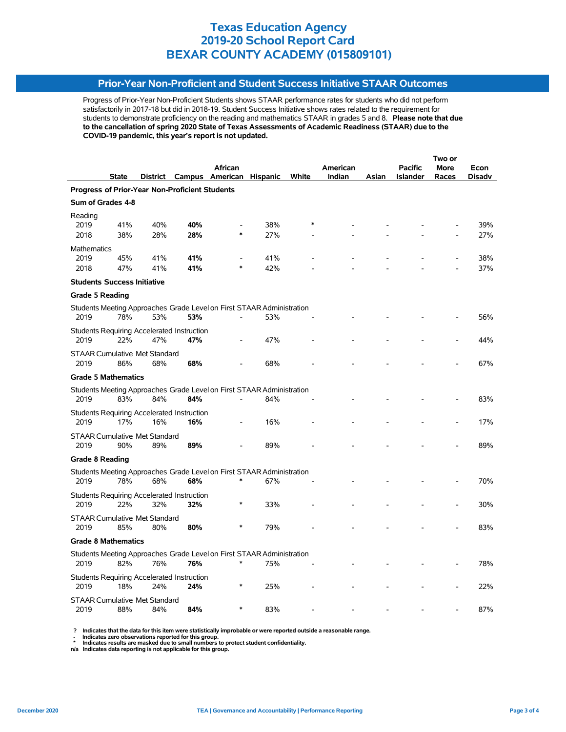### **Prior-Year Non-Proficient and Student Success Initiative STAAR Outcomes**

Progress of Prior-Year Non-Proficient Students shows STAAR performance rates for students who did not perform satisfactorily in 2017-18 but did in 2018-19. Student Success Initiative shows rates related to the requirement for students to demonstrate proficiency on the reading and mathematics STAAR in grades 5 and 8. **Please note that due to the cancellation of spring 2020 State of Texas Assessments of Academic Readiness (STAAR) due to the COVID-19 pandemic, this year's report is not updated.**

|                                                                       |              |          |     |                          |     |       |          |       | Two or          |             |        |  |
|-----------------------------------------------------------------------|--------------|----------|-----|--------------------------|-----|-------|----------|-------|-----------------|-------------|--------|--|
|                                                                       |              |          |     | African                  |     |       | American |       | <b>Pacific</b>  | <b>More</b> | Econ   |  |
|                                                                       | <b>State</b> | District |     | Campus American Hispanic |     | White | Indian   | Asian | <b>Islander</b> | Races       | Disadv |  |
| Progress of Prior-Year Non-Proficient Students                        |              |          |     |                          |     |       |          |       |                 |             |        |  |
| Sum of Grades 4-8                                                     |              |          |     |                          |     |       |          |       |                 |             |        |  |
| Reading                                                               |              |          |     |                          |     |       |          |       |                 |             |        |  |
| 2019                                                                  | 41%          | 40%      | 40% |                          | 38% |       |          |       |                 |             | 39%    |  |
| 2018                                                                  | 38%          | 28%      | 28% | $\ast$                   | 27% |       |          |       |                 |             | 27%    |  |
| <b>Mathematics</b>                                                    |              |          |     |                          |     |       |          |       |                 |             |        |  |
| 2019                                                                  | 45%          | 41%      | 41% |                          | 41% |       |          |       |                 |             | 38%    |  |
| 2018                                                                  | 47%          | 41%      | 41% |                          | 42% |       |          |       |                 |             | 37%    |  |
| <b>Students Success Initiative</b>                                    |              |          |     |                          |     |       |          |       |                 |             |        |  |
| <b>Grade 5 Reading</b>                                                |              |          |     |                          |     |       |          |       |                 |             |        |  |
| Students Meeting Approaches Grade Level on First STAAR Administration |              |          |     |                          |     |       |          |       |                 |             |        |  |
| 2019                                                                  | 78%          | 53%      | 53% |                          | 53% |       |          |       |                 |             | 56%    |  |
|                                                                       |              |          |     |                          |     |       |          |       |                 |             |        |  |
| Students Requiring Accelerated Instruction<br>2019                    | 22%          | 47%      | 47% |                          | 47% |       |          |       |                 |             | 44%    |  |
|                                                                       |              |          |     |                          |     |       |          |       |                 |             |        |  |
| <b>STAAR Cumulative Met Standard</b>                                  |              |          |     |                          |     |       |          |       |                 |             |        |  |
| 2019                                                                  | 86%          | 68%      | 68% |                          | 68% |       |          |       |                 |             | 67%    |  |
| <b>Grade 5 Mathematics</b>                                            |              |          |     |                          |     |       |          |       |                 |             |        |  |
| Students Meeting Approaches Grade Level on First STAAR Administration |              |          |     |                          |     |       |          |       |                 |             |        |  |
| 2019                                                                  | 83%          | 84%      | 84% |                          | 84% |       |          |       |                 |             | 83%    |  |
| <b>Students Requiring Accelerated Instruction</b>                     |              |          |     |                          |     |       |          |       |                 |             |        |  |
| 2019                                                                  | 17%          | 16%      | 16% |                          | 16% |       |          |       |                 |             | 17%    |  |
| <b>STAAR Cumulative Met Standard</b>                                  |              |          |     |                          |     |       |          |       |                 |             |        |  |
| 2019                                                                  | 90%          | 89%      | 89% |                          | 89% |       |          |       |                 |             | 89%    |  |
|                                                                       |              |          |     |                          |     |       |          |       |                 |             |        |  |
| <b>Grade 8 Reading</b>                                                |              |          |     |                          |     |       |          |       |                 |             |        |  |
| Students Meeting Approaches Grade Level on First STAAR Administration |              |          |     |                          |     |       |          |       |                 |             |        |  |
| 2019                                                                  | 78%          | 68%      | 68% |                          | 67% |       |          |       |                 |             | 70%    |  |
| Students Requiring Accelerated Instruction                            |              |          |     |                          |     |       |          |       |                 |             |        |  |
| 2019                                                                  | 22%          | 32%      | 32% | $\ast$                   | 33% |       |          |       |                 |             | 30%    |  |
| <b>STAAR Cumulative Met Standard</b>                                  |              |          |     |                          |     |       |          |       |                 |             |        |  |
| 2019                                                                  | 85%          | 80%      | 80% |                          | 79% |       |          |       |                 |             | 83%    |  |
| <b>Grade 8 Mathematics</b>                                            |              |          |     |                          |     |       |          |       |                 |             |        |  |
| Students Meeting Approaches Grade Level on First STAAR Administration |              |          |     |                          |     |       |          |       |                 |             |        |  |
| 2019                                                                  | 82%          | 76%      | 76% | ∗                        | 75% |       |          |       |                 |             | 78%    |  |
| Students Requiring Accelerated Instruction                            |              |          |     |                          |     |       |          |       |                 |             |        |  |
| 2019                                                                  | 18%          | 24%      | 24% |                          | 25% |       |          |       |                 |             | 22%    |  |
| <b>STAAR Cumulative Met Standard</b>                                  |              |          |     |                          |     |       |          |       |                 |             |        |  |
| 2019                                                                  | 88%          | 84%      | 84% | $\ast$                   | 83% |       |          |       |                 |             | 87%    |  |
|                                                                       |              |          |     |                          |     |       |          |       |                 |             |        |  |

 **? Indicates that the data for this item were statistically improbable or were reported outside a reasonable range.**

 **- Indicates zero observations reported for this group.**

 **\* Indicates results are masked due to small numbers to protect student confidentiality. n/a Indicates data reporting is not applicable for this group.**